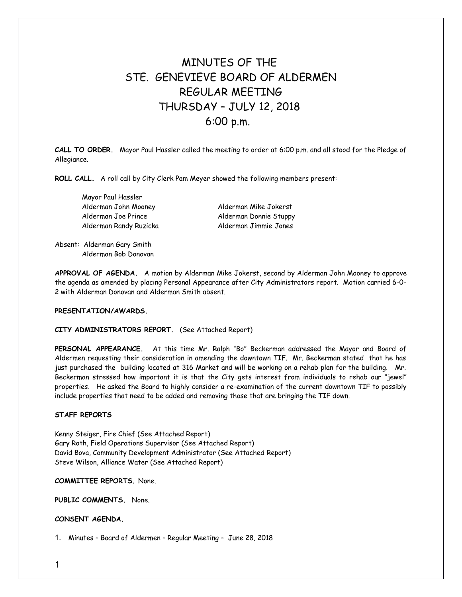# MINUTES OF THE STE GENEVIEVE BOARD OF ALDERMEN REGULAR MEETING THURSDAY – JULY 12, 2018 6:00 p.m.

**CALL TO ORDER.** Mayor Paul Hassler called the meeting to order at 6:00 p.m. and all stood for the Pledge of Allegiance.

**ROLL CALL.** A roll call by City Clerk Pam Meyer showed the following members present:

Mayor Paul Hassler Alderman John Mooney Alderman Mike Jokerst Alderman Joe Prince Alderman Donnie Stuppy Alderman Randy Ruzicka Alderman Jimmie Jones

Absent: Alderman Gary Smith Alderman Bob Donovan

**APPROVAL OF AGENDA.** A motion by Alderman Mike Jokerst, second by Alderman John Mooney to approve the agenda as amended by placing Personal Appearance after City Administrators report. Motion carried 6-0- 2 with Alderman Donovan and Alderman Smith absent.

## **PRESENTATION/AWARDS.**

#### **CITY ADMINISTRATORS REPORT.** (See Attached Report)

**PERSONAL APPEARANCE.** At this time Mr. Ralph "Bo" Beckerman addressed the Mayor and Board of Aldermen requesting their consideration in amending the downtown TIF. Mr. Beckerman stated that he has just purchased the building located at 316 Market and will be working on a rehab plan for the building. Mr. Beckerman stressed how important it is that the City gets interest from individuals to rehab our "jewel" properties. He asked the Board to highly consider a re-examination of the current downtown TIF to possibly include properties that need to be added and removing those that are bringing the TIF down.

### **STAFF REPORTS**

Kenny Steiger, Fire Chief (See Attached Report) Gary Roth, Field Operations Supervisor (See Attached Report) David Bova, Community Development Administrator (See Attached Report) Steve Wilson, Alliance Water (See Attached Report)

**COMMITTEE REPORTS.** None.

**PUBLIC COMMENTS.** None.

#### **CONSENT AGENDA.**

1. Minutes – Board of Aldermen – Regular Meeting – June 28, 2018